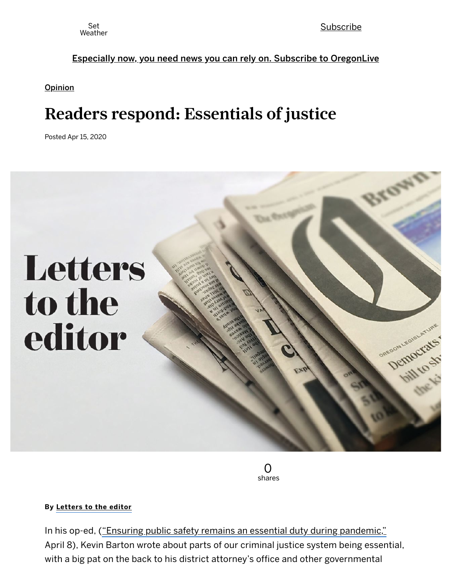Set [Subscribe](https://www.oregonlive.com/subscribe/) Subscribe Subscribe Subscribe Subscribe Subscribe Subscribe Subscribe

#### Especially now, you need news you can rely on. Subscribe to [OregonLive](https://www.oregonlive.com/digitalsubscription/inline/?utm_source=INL&utm_medium=ACQ-ADH0-120h&utm_campaign=ACQ)

**[Opinion](https://www.oregonlive.com/opinion)** 

# Readers respond: Essentials of justice

Posted Apr 15, 2020



0 shares

#### By [Letters](http://connect.oregonlive.com/staff/oliveoreglet/posts.html) to the editor

In his op-ed, ("Ensuring public safety remains an essential duty during [pandemic,"](https://www.oregonlive.com/opinion/2020/04/opinion-ensuring-public-safety-remains-an-essential-duty-during-pandemic.html) April 8), Kevin Barton wrote about parts of our criminal justice system being essential, with a big pat on the back to his district attorney's office and other governmental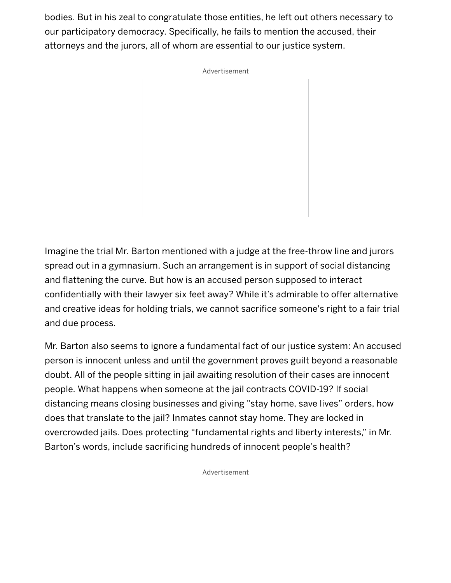bodies. But in his zeal to congratulate those entities, he left out others necessary to our participatory democracy. Specifically, he fails to mention the accused, their attorneys and the jurors, all of whom are essential to our justice system.

Advertisement

Imagine the trial Mr. Barton mentioned with a judge at the free-throw line and jurors spread out in a gymnasium. Such an arrangement is in support of social distancing and flattening the curve. But how is an accused person supposed to interact confidentially with their lawyer six feet away? While it's admirable to offer alternative and creative ideas for holding trials, we cannot sacrifice someone's right to a fair trial and due process.

Mr. Barton also seems to ignore a fundamental fact of our justice system: An accused person is innocent unless and until the government proves guilt beyond a reasonable doubt. All of the people sitting in jail awaiting resolution of their cases are innocent people. What happens when someone at the jail contracts COVID-19? If social distancing means closing businesses and giving "stay home, save lives" orders, how does that translate to the jail? Inmates cannot stay home. They are locked in overcrowded jails. Does protecting "fundamental rights and liberty interests," in Mr. Barton's words, include sacrificing hundreds of innocent people's health?

Advertisement